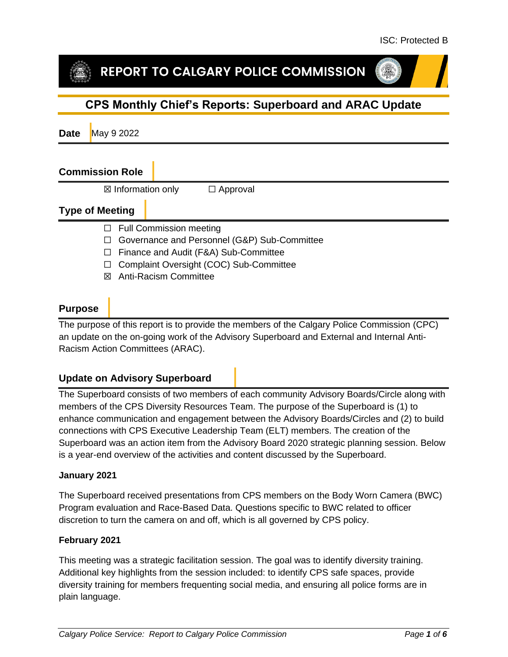# REPORT TO CALGARY POLICE COMMISSION

# **CPS Monthly Chief's Reports: Superboard and ARAC Update**

**Date** May 9 2022

### **Commission Role**

 $\boxtimes$  Information only  $\Box$  Approval

# **Type of Meeting**

- □ Full Commission meeting
- ☐ Governance and Personnel (G&P) Sub-Committee
- ☐ Finance and Audit (F&A) Sub-Committee
- ☐ Complaint Oversight (COC) Sub-Committee
- ☒ Anti-Racism Committee

# **Purpose**

The purpose of this report is to provide the members of the Calgary Police Commission (CPC) an update on the on-going work of the Advisory Superboard and External and Internal Anti-Racism Action Committees (ARAC).

# **Update on Advisory Superboard**

The Superboard consists of two members of each community Advisory Boards/Circle along with members of the CPS Diversity Resources Team. The purpose of the Superboard is (1) to enhance communication and engagement between the Advisory Boards/Circles and (2) to build connections with CPS Executive Leadership Team (ELT) members. The creation of the Superboard was an action item from the Advisory Board 2020 strategic planning session. Below is a year-end overview of the activities and content discussed by the Superboard.

#### **January 2021**

The Superboard received presentations from CPS members on the Body Worn Camera (BWC) Program evaluation and Race-Based Data. Questions specific to BWC related to officer discretion to turn the camera on and off, which is all governed by CPS policy.

#### **February 2021**

This meeting was a strategic facilitation session. The goal was to identify diversity training. Additional key highlights from the session included: to identify CPS safe spaces, provide diversity training for members frequenting social media, and ensuring all police forms are in plain language.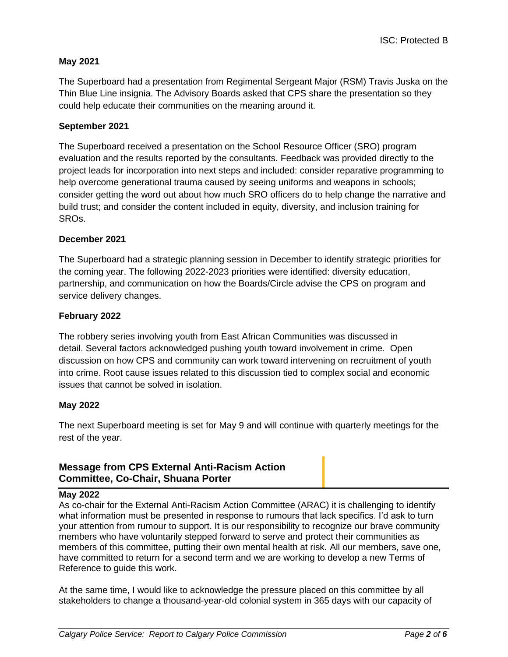#### **May 2021**

The Superboard had a presentation from Regimental Sergeant Major (RSM) Travis Juska on the Thin Blue Line insignia. The Advisory Boards asked that CPS share the presentation so they could help educate their communities on the meaning around it.

#### **September 2021**

The Superboard received a presentation on the School Resource Officer (SRO) program evaluation and the results reported by the consultants. Feedback was provided directly to the project leads for incorporation into next steps and included: consider reparative programming to help overcome generational trauma caused by seeing uniforms and weapons in schools; consider getting the word out about how much SRO officers do to help change the narrative and build trust; and consider the content included in equity, diversity, and inclusion training for SROs.

#### **December 2021**

The Superboard had a strategic planning session in December to identify strategic priorities for the coming year. The following 2022-2023 priorities were identified: diversity education, partnership, and communication on how the Boards/Circle advise the CPS on program and service delivery changes.

#### **February 2022**

The robbery series involving youth from East African Communities was discussed in detail. Several factors acknowledged pushing youth toward involvement in crime. Open discussion on how CPS and community can work toward intervening on recruitment of youth into crime. Root cause issues related to this discussion tied to complex social and economic issues that cannot be solved in isolation.

#### **May 2022**

The next Superboard meeting is set for May 9 and will continue with quarterly meetings for the rest of the year.

# **Message from CPS External Anti-Racism Action Committee, Co-Chair, Shuana Porter**

#### **May 2022**

As co-chair for the External Anti-Racism Action Committee (ARAC) it is challenging to identify what information must be presented in response to rumours that lack specifics. I'd ask to turn your attention from rumour to support. It is our responsibility to recognize our brave community members who have voluntarily stepped forward to serve and protect their communities as members of this committee, putting their own mental health at risk. All our members, save one, have committed to return for a second term and we are working to develop a new Terms of Reference to guide this work.

At the same time, I would like to acknowledge the pressure placed on this committee by all stakeholders to change a thousand-year-old colonial system in 365 days with our capacity of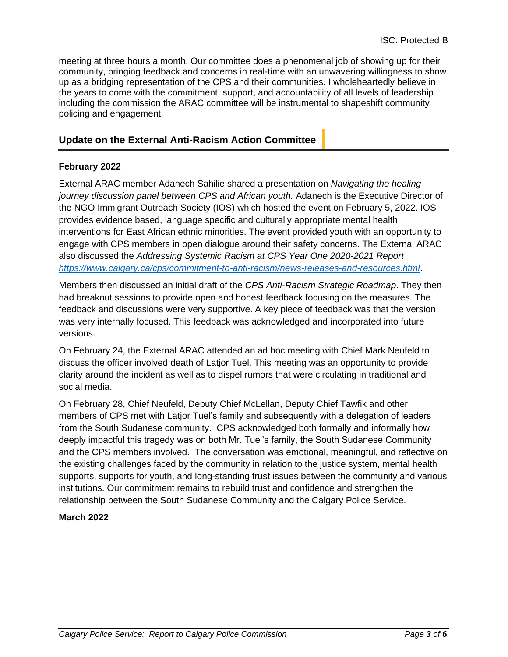meeting at three hours a month. Our committee does a phenomenal job of showing up for their community, bringing feedback and concerns in real-time with an unwavering willingness to show up as a bridging representation of the CPS and their communities. I wholeheartedly believe in the years to come with the commitment, support, and accountability of all levels of leadership including the commission the ARAC committee will be instrumental to shapeshift community policing and engagement.

# **Update on the External Anti-Racism Action Committee**

#### **February 2022**

External ARAC member Adanech Sahilie shared a presentation on *Navigating the healing journey discussion panel between CPS and African youth.* Adanech is the Executive Director of the NGO Immigrant Outreach Society (IOS) which hosted the event on February 5, 2022. IOS provides evidence based, language specific and culturally appropriate mental health interventions for East African ethnic minorities. The event provided youth with an opportunity to engage with CPS members in open dialogue around their safety concerns. The External ARAC also discussed the *Addressing Systemic Racism at CPS Year One 2020-2021 Report <https://www.calgary.ca/cps/commitment-to-anti-racism/news-releases-and-resources.html>*.

Members then discussed an initial draft of the *CPS Anti-Racism Strategic Roadmap*. They then had breakout sessions to provide open and honest feedback focusing on the measures. The feedback and discussions were very supportive. A key piece of feedback was that the version was very internally focused. This feedback was acknowledged and incorporated into future versions.

On February 24, the External ARAC attended an ad hoc meeting with Chief Mark Neufeld to discuss the officer involved death of Latjor Tuel. This meeting was an opportunity to provide clarity around the incident as well as to dispel rumors that were circulating in traditional and social media.

On February 28, Chief Neufeld, Deputy Chief McLellan, Deputy Chief Tawfik and other members of CPS met with Latjor Tuel's family and subsequently with a delegation of leaders from the South Sudanese community. CPS acknowledged both formally and informally how deeply impactful this tragedy was on both Mr. Tuel's family, the South Sudanese Community and the CPS members involved. The conversation was emotional, meaningful, and reflective on the existing challenges faced by the community in relation to the justice system, mental health supports, supports for youth, and long-standing trust issues between the community and various institutions. Our commitment remains to rebuild trust and confidence and strengthen the relationship between the South Sudanese Community and the Calgary Police Service.

#### **March 2022**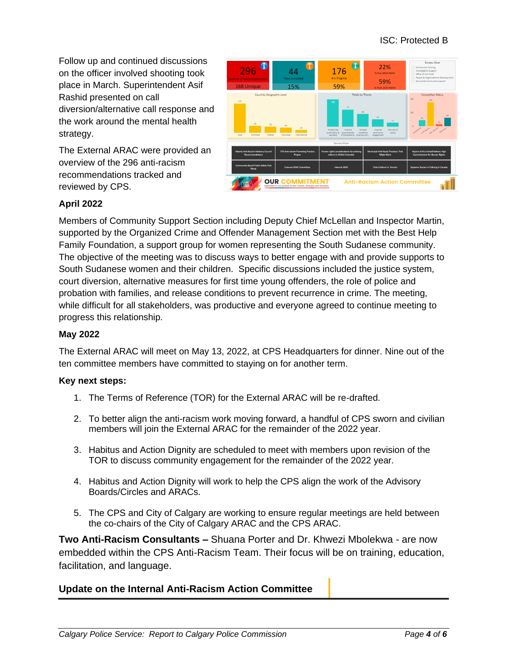Follow up and continued discussions on the officer involved shooting took place in March. Superintendent Asif Rashid presented on call diversion/alternative call response and the work around the mental health strategy.

The External ARAC were provided an overview of the 296 anti-racism recommendations tracked and reviewed by CPS.



#### **April 2022**

Members of Community Support Section including Deputy Chief McLellan and Inspector Martin, supported by the Organized Crime and Offender Management Section met with the Best Help Family Foundation, a support group for women representing the South Sudanese community. The objective of the meeting was to discuss ways to better engage with and provide supports to South Sudanese women and their children. Specific discussions included the justice system, court diversion, alternative measures for first time young offenders, the role of police and probation with families, and release conditions to prevent recurrence in crime. The meeting, while difficult for all stakeholders, was productive and everyone agreed to continue meeting to progress this relationship.

#### **May 2022**

The External ARAC will meet on May 13, 2022, at CPS Headquarters for dinner. Nine out of the ten committee members have committed to staying on for another term.

#### **Key next steps:**

- 1. The Terms of Reference (TOR) for the External ARAC will be re-drafted.
- 2. To better align the anti-racism work moving forward, a handful of CPS sworn and civilian members will join the External ARAC for the remainder of the 2022 year.
- 3. Habitus and Action Dignity are scheduled to meet with members upon revision of the TOR to discuss community engagement for the remainder of the 2022 year.
- 4. Habitus and Action Dignity will work to help the CPS align the work of the Advisory Boards/Circles and ARACs.
- 5. The CPS and City of Calgary are working to ensure regular meetings are held between the co-chairs of the City of Calgary ARAC and the CPS ARAC.

**Two Anti-Racism Consultants –** Shuana Porter and Dr. Khwezi Mbolekwa - are now embedded within the CPS Anti-Racism Team. Their focus will be on training, education, facilitation, and language.

#### **Update on the Internal Anti-Racism Action Committee**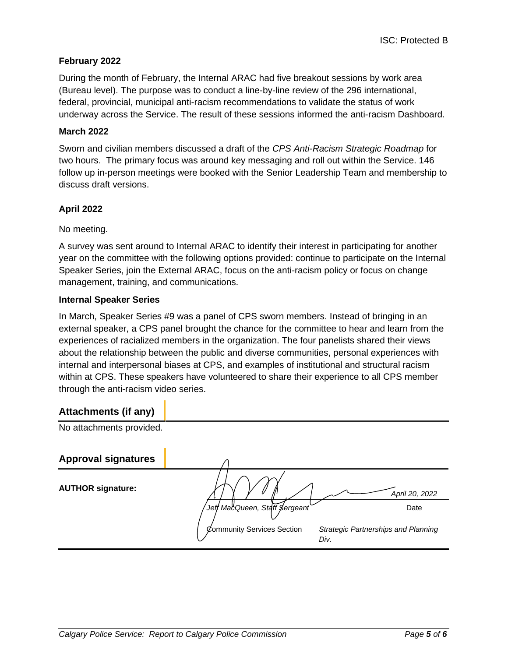#### **February 2022**

During the month of February, the Internal ARAC had five breakout sessions by work area (Bureau level). The purpose was to conduct a line-by-line review of the 296 international, federal, provincial, municipal anti-racism recommendations to validate the status of work underway across the Service. The result of these sessions informed the anti-racism Dashboard.

#### **March 2022**

Sworn and civilian members discussed a draft of the *CPS Anti-Racism Strategic Roadmap* for two hours. The primary focus was around key messaging and roll out within the Service. 146 follow up in-person meetings were booked with the Senior Leadership Team and membership to discuss draft versions.

#### **April 2022**

No meeting.

A survey was sent around to Internal ARAC to identify their interest in participating for another year on the committee with the following options provided: continue to participate on the Internal Speaker Series, join the External ARAC, focus on the anti-racism policy or focus on change management, training, and communications.

#### **Internal Speaker Series**

In March, Speaker Series #9 was a panel of CPS sworn members. Instead of bringing in an external speaker, a CPS panel brought the chance for the committee to hear and learn from the experiences of racialized members in the organization. The four panelists shared their views about the relationship between the public and diverse communities, personal experiences with internal and interpersonal biases at CPS, and examples of institutional and structural racism within at CPS. These speakers have volunteered to share their experience to all CPS member through the anti-racism video series.

## **Attachments (if any)**

| . .                        |                                    |                                            |
|----------------------------|------------------------------------|--------------------------------------------|
| No attachments provided.   |                                    |                                            |
| <b>Approval signatures</b> |                                    |                                            |
| <b>AUTHOR signature:</b>   |                                    | April 20, 2022                             |
|                            | Jeff MacQueen, Staff \$ergeant`    | Date                                       |
|                            | Community Services Section<br>Div. | <b>Strategic Partnerships and Planning</b> |